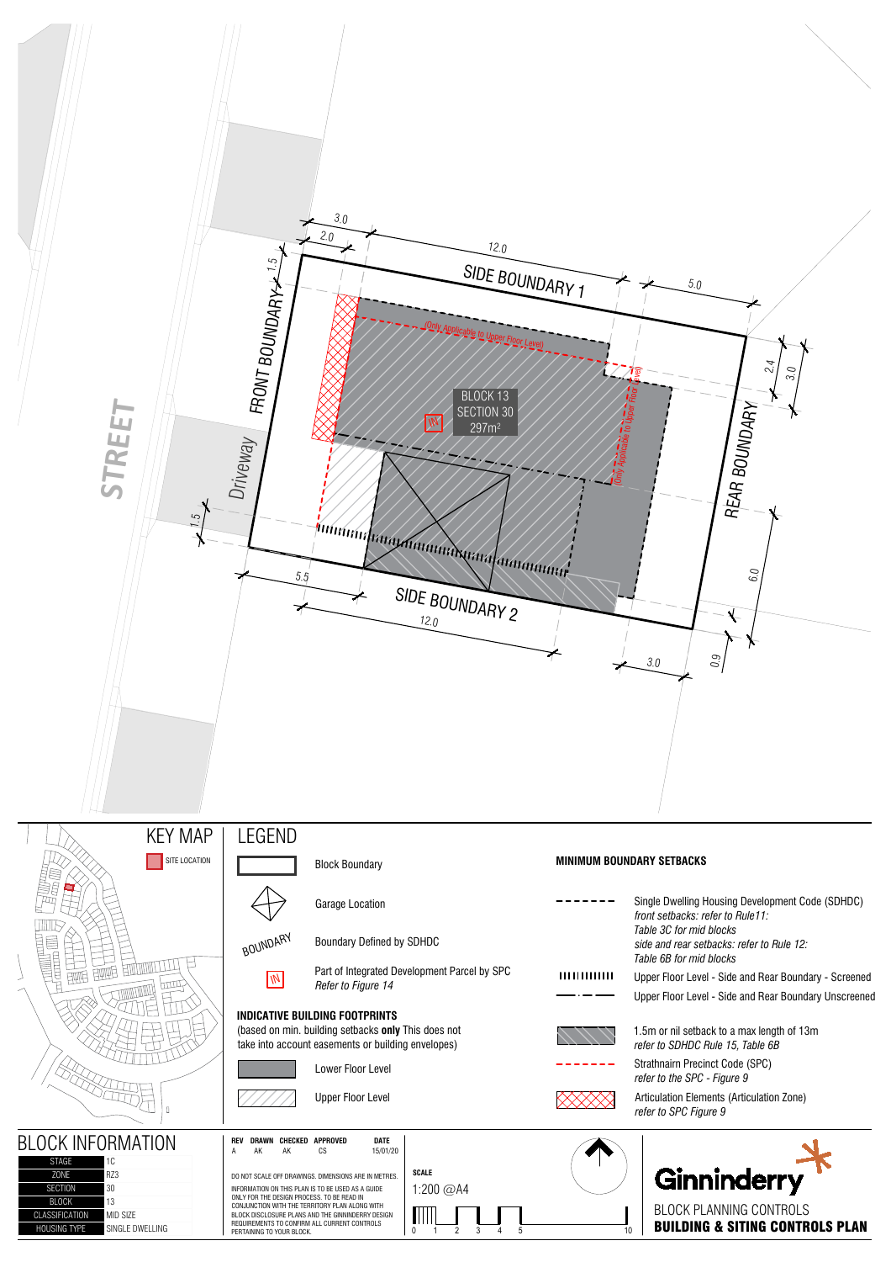